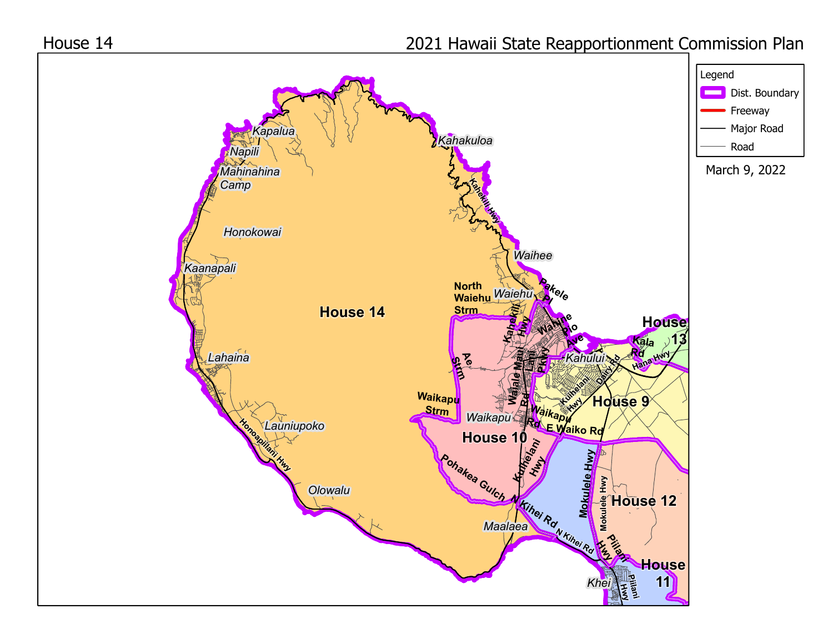